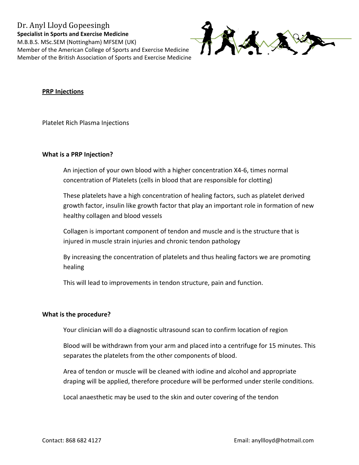

## **PRP Injections**

Platelet Rich Plasma Injections

### What is a PRP Injection?

An injection of your own blood with a higher concentration X4-6, times normal concentration of Platelets (cells in blood that are responsible for clotting)

These platelets have a high concentration of healing factors, such as platelet derived growth factor, insulin like growth factor that play an important role in formation of new healthy collagen and blood vessels

Collagen is important component of tendon and muscle and is the structure that is injured in muscle strain injuries and chronic tendon pathology

By increasing the concentration of platelets and thus healing factors we are promoting healing

This will lead to improvements in tendon structure, pain and function.

### What is the procedure?

Your clinician will do a diagnostic ultrasound scan to confirm location of region

Blood will be withdrawn from your arm and placed into a centrifuge for 15 minutes. This separates the platelets from the other components of blood.

Area of tendon or muscle will be cleaned with iodine and alcohol and appropriate draping will be applied, therefore procedure will be performed under sterile conditions.

Local anaesthetic may be used to the skin and outer covering of the tendon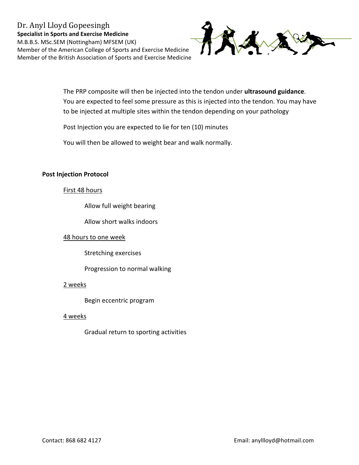# Dr. Anyl Lloyd Gopeesingh **Specialist in Sports and Exercise Medicine** M.B.B.S. MSc.SEM (Nottingham) MFSEM (UK) Member of the American College of Sports and Exercise Medicine Member of the British Association of Sports and Exercise Medicine



The PRP composite will then be injected into the tendon under ultrasound guidance. You are expected to feel some pressure as this is injected into the tendon. You may have to be injected at multiple sites within the tendon depending on your pathology

Post Injection you are expected to lie for ten (10) minutes

You will then be allowed to weight bear and walk normally.

### **Post Injection Protocol**

### First 48 hours

Allow full weight bearing

Allow short walks indoors

### 48 hours to one week

**Stretching exercises** 

Progression to normal walking

### 2 weeks

Begin eccentric program

### 4 weeks

Gradual return to sporting activities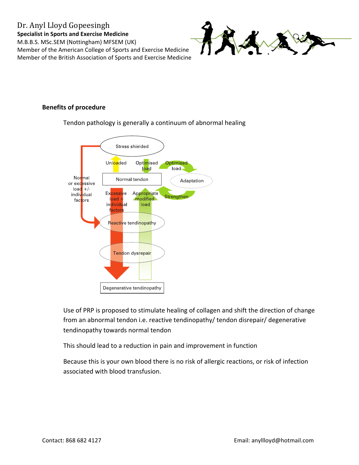# Dr. Anyl Lloyd Gopeesingh **Specialist in Sports and Exercise Medicine** M.B.B.S. MSc.SEM (Nottingham) MFSEM (UK) Member of the American College of Sports and Exercise Medicine Member of the British Association of Sports and Exercise Medicine



## **Benefits of procedure**

Tendon pathology is generally a continuum of abnormal healing



Use of PRP is proposed to stimulate healing of collagen and shift the direction of change from an abnormal tendon i.e. reactive tendinopathy/ tendon disrepair/ degenerative tendinopathy towards normal tendon

This should lead to a reduction in pain and improvement in function

Because this is your own blood there is no risk of allergic reactions, or risk of infection associated with blood transfusion.